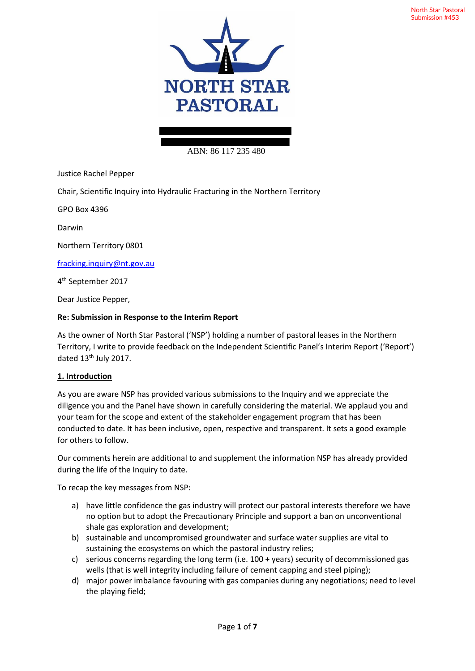

## ABN: 86 117 235 480

Justice Rachel Pepper

Chair, Scientific Inquiry into Hydraulic Fracturing in the Northern Territory

GPO Box 4396

Darwin

Northern Territory 0801

fracking.inquiry@nt.gov.au

4 th September 2017

Dear Justice Pepper,

#### **Re: Submission in Response to the Interim Report**

As the owner of North Star Pastoral ('NSP') holding a number of pastoral leases in the Northern Territory, I write to provide feedback on the Independent Scientific Panel's Interim Report ('Report') dated 13<sup>th</sup> July 2017.

## **1. Introduction**

As you are aware NSP has provided various submissions to the Inquiry and we appreciate the diligence you and the Panel have shown in carefully considering the material. We applaud you and your team for the scope and extent of the stakeholder engagement program that has been conducted to date. It has been inclusive, open, respective and transparent. It sets a good example for others to follow.

Our comments herein are additional to and supplement the information NSP has already provided during the life of the Inquiry to date.

To recap the key messages from NSP:

- a) have little confidence the gas industry will protect our pastoral interests therefore we have no option but to adopt the Precautionary Principle and support a ban on unconventional shale gas exploration and development;
- b) sustainable and uncompromised groundwater and surface water supplies are vital to sustaining the ecosystems on which the pastoral industry relies;
- c) serious concerns regarding the long term (i.e. 100 + years) security of decommissioned gas wells (that is well integrity including failure of cement capping and steel piping);
- d) major power imbalance favouring with gas companies during any negotiations; need to level the playing field;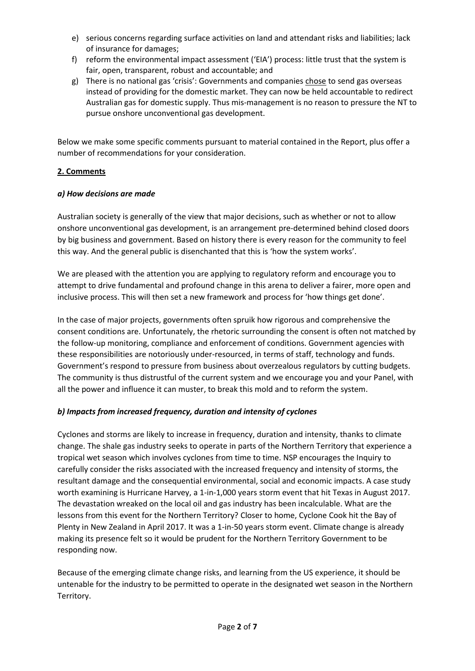- e) serious concerns regarding surface activities on land and attendant risks and liabilities; lack of insurance for damages;
- f) reform the environmental impact assessment ('EIA') process: little trust that the system is fair, open, transparent, robust and accountable; and
- g) There is no national gas 'crisis': Governments and companies chose to send gas overseas instead of providing for the domestic market. They can now be held accountable to redirect Australian gas for domestic supply. Thus mis-management is no reason to pressure the NT to pursue onshore unconventional gas development.

Below we make some specific comments pursuant to material contained in the Report, plus offer a number of recommendations for your consideration.

## **2. Comments**

## *a) How decisions are made*

Australian society is generally of the view that major decisions, such as whether or not to allow onshore unconventional gas development, is an arrangement pre-determined behind closed doors by big business and government. Based on history there is every reason for the community to feel this way. And the general public is disenchanted that this is 'how the system works'.

We are pleased with the attention you are applying to regulatory reform and encourage you to attempt to drive fundamental and profound change in this arena to deliver a fairer, more open and inclusive process. This will then set a new framework and process for 'how things get done'.

In the case of major projects, governments often spruik how rigorous and comprehensive the consent conditions are. Unfortunately, the rhetoric surrounding the consent is often not matched by the follow-up monitoring, compliance and enforcement of conditions. Government agencies with these responsibilities are notoriously under-resourced, in terms of staff, technology and funds. Government's respond to pressure from business about overzealous regulators by cutting budgets. The community is thus distrustful of the current system and we encourage you and your Panel, with all the power and influence it can muster, to break this mold and to reform the system.

## *b) Impacts from increased frequency, duration and intensity of cyclones*

Cyclones and storms are likely to increase in frequency, duration and intensity, thanks to climate change. The shale gas industry seeks to operate in parts of the Northern Territory that experience a tropical wet season which involves cyclones from time to time. NSP encourages the Inquiry to carefully consider the risks associated with the increased frequency and intensity of storms, the resultant damage and the consequential environmental, social and economic impacts. A case study worth examining is Hurricane Harvey, a 1-in-1,000 years storm event that hit Texas in August 2017. The devastation wreaked on the local oil and gas industry has been incalculable. What are the lessons from this event for the Northern Territory? Closer to home, Cyclone Cook hit the Bay of Plenty in New Zealand in April 2017. It was a 1-in-50 years storm event. Climate change is already making its presence felt so it would be prudent for the Northern Territory Government to be responding now.

Because of the emerging climate change risks, and learning from the US experience, it should be untenable for the industry to be permitted to operate in the designated wet season in the Northern Territory.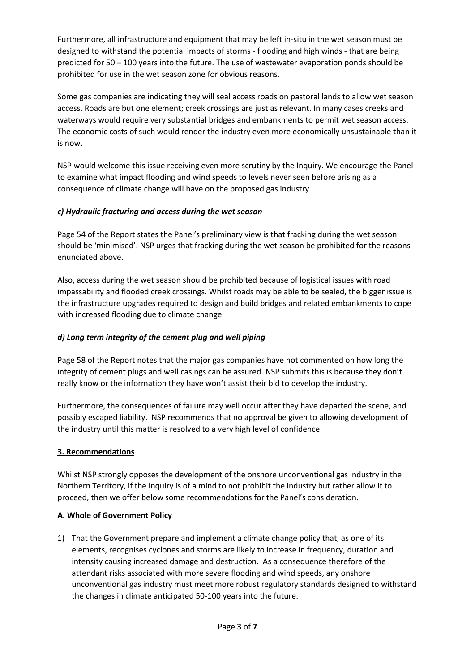Furthermore, all infrastructure and equipment that may be left in-situ in the wet season must be designed to withstand the potential impacts of storms - flooding and high winds - that are being predicted for 50 – 100 years into the future. The use of wastewater evaporation ponds should be prohibited for use in the wet season zone for obvious reasons.

Some gas companies are indicating they will seal access roads on pastoral lands to allow wet season access. Roads are but one element; creek crossings are just as relevant. In many cases creeks and waterways would require very substantial bridges and embankments to permit wet season access. The economic costs of such would render the industry even more economically unsustainable than it is now.

NSP would welcome this issue receiving even more scrutiny by the Inquiry. We encourage the Panel to examine what impact flooding and wind speeds to levels never seen before arising as a consequence of climate change will have on the proposed gas industry.

## *c) Hydraulic fracturing and access during the wet season*

Page 54 of the Report states the Panel's preliminary view is that fracking during the wet season should be 'minimised'. NSP urges that fracking during the wet season be prohibited for the reasons enunciated above.

Also, access during the wet season should be prohibited because of logistical issues with road impassability and flooded creek crossings. Whilst roads may be able to be sealed, the bigger issue is the infrastructure upgrades required to design and build bridges and related embankments to cope with increased flooding due to climate change.

# *d) Long term integrity of the cement plug and well piping*

Page 58 of the Report notes that the major gas companies have not commented on how long the integrity of cement plugs and well casings can be assured. NSP submits this is because they don't really know or the information they have won't assist their bid to develop the industry.

Furthermore, the consequences of failure may well occur after they have departed the scene, and possibly escaped liability. NSP recommends that no approval be given to allowing development of the industry until this matter is resolved to a very high level of confidence.

## **3. Recommendations**

Whilst NSP strongly opposes the development of the onshore unconventional gas industry in the Northern Territory, if the Inquiry is of a mind to not prohibit the industry but rather allow it to proceed, then we offer below some recommendations for the Panel's consideration.

## **A. Whole of Government Policy**

1) That the Government prepare and implement a climate change policy that, as one of its elements, recognises cyclones and storms are likely to increase in frequency, duration and intensity causing increased damage and destruction. As a consequence therefore of the attendant risks associated with more severe flooding and wind speeds, any onshore unconventional gas industry must meet more robust regulatory standards designed to withstand the changes in climate anticipated 50-100 years into the future.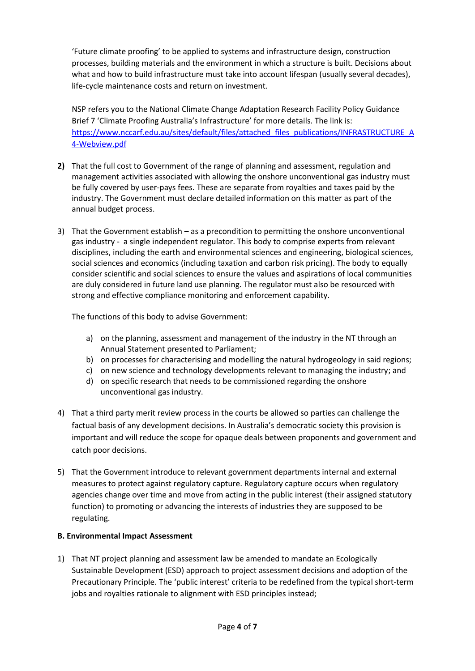'Future climate proofing' to be applied to systems and infrastructure design, construction processes, building materials and the environment in which a structure is built. Decisions about what and how to build infrastructure must take into account lifespan (usually several decades), life-cycle maintenance costs and return on investment.

NSP refers you to the National Climate Change Adaptation Research Facility Policy Guidance Brief 7 'Climate Proofing Australia's Infrastructure' for more details. The link is: https://www.nccarf.edu.au/sites/default/files/attached files publications/INFRASTRUCTURE A 4-Webview.pdf

- **2)** That the full cost to Government of the range of planning and assessment, regulation and management activities associated with allowing the onshore unconventional gas industry must be fully covered by user-pays fees. These are separate from royalties and taxes paid by the industry. The Government must declare detailed information on this matter as part of the annual budget process.
- 3) That the Government establish as a precondition to permitting the onshore unconventional gas industry - a single independent regulator. This body to comprise experts from relevant disciplines, including the earth and environmental sciences and engineering, biological sciences, social sciences and economics (including taxation and carbon risk pricing). The body to equally consider scientific and social sciences to ensure the values and aspirations of local communities are duly considered in future land use planning. The regulator must also be resourced with strong and effective compliance monitoring and enforcement capability.

The functions of this body to advise Government:

- a) on the planning, assessment and management of the industry in the NT through an Annual Statement presented to Parliament;
- b) on processes for characterising and modelling the natural hydrogeology in said regions;
- c) on new science and technology developments relevant to managing the industry; and
- d) on specific research that needs to be commissioned regarding the onshore unconventional gas industry.
- 4) That a third party merit review process in the courts be allowed so parties can challenge the factual basis of any development decisions. In Australia's democratic society this provision is important and will reduce the scope for opaque deals between proponents and government and catch poor decisions.
- 5) That the Government introduce to relevant government departments internal and external measures to protect against regulatory capture. Regulatory capture occurs when regulatory agencies change over time and move from acting in the public interest (their assigned statutory function) to promoting or advancing the interests of industries they are supposed to be regulating.

## **B. Environmental Impact Assessment**

1) That NT project planning and assessment law be amended to mandate an Ecologically Sustainable Development (ESD) approach to project assessment decisions and adoption of the Precautionary Principle. The 'public interest' criteria to be redefined from the typical short-term jobs and royalties rationale to alignment with ESD principles instead;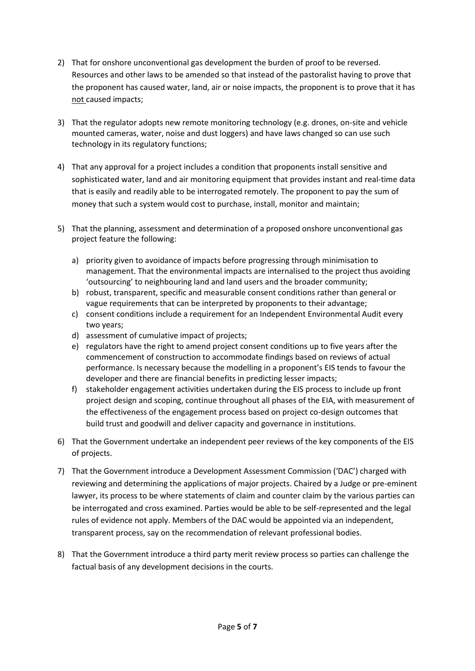- 2) That for onshore unconventional gas development the burden of proof to be reversed. Resources and other laws to be amended so that instead of the pastoralist having to prove that the proponent has caused water, land, air or noise impacts, the proponent is to prove that it has not caused impacts;
- 3) That the regulator adopts new remote monitoring technology (e.g. drones, on-site and vehicle mounted cameras, water, noise and dust loggers) and have laws changed so can use such technology in its regulatory functions;
- 4) That any approval for a project includes a condition that proponents install sensitive and sophisticated water, land and air monitoring equipment that provides instant and real-time data that is easily and readily able to be interrogated remotely. The proponent to pay the sum of money that such a system would cost to purchase, install, monitor and maintain;
- 5) That the planning, assessment and determination of a proposed onshore unconventional gas project feature the following:
	- a) priority given to avoidance of impacts before progressing through minimisation to management. That the environmental impacts are internalised to the project thus avoiding 'outsourcing' to neighbouring land and land users and the broader community;
	- b) robust, transparent, specific and measurable consent conditions rather than general or vague requirements that can be interpreted by proponents to their advantage;
	- c) consent conditions include a requirement for an Independent Environmental Audit every two years;
	- d) assessment of cumulative impact of projects;
	- e) regulators have the right to amend project consent conditions up to five years after the commencement of construction to accommodate findings based on reviews of actual performance. Is necessary because the modelling in a proponent's EIS tends to favour the developer and there are financial benefits in predicting lesser impacts;
	- f) stakeholder engagement activities undertaken during the EIS process to include up front project design and scoping, continue throughout all phases of the EIA, with measurement of the effectiveness of the engagement process based on project co-design outcomes that build trust and goodwill and deliver capacity and governance in institutions.
- 6) That the Government undertake an independent peer reviews of the key components of the EIS of projects.
- 7) That the Government introduce a Development Assessment Commission ('DAC') charged with reviewing and determining the applications of major projects. Chaired by a Judge or pre-eminent lawyer, its process to be where statements of claim and counter claim by the various parties can be interrogated and cross examined. Parties would be able to be self-represented and the legal rules of evidence not apply. Members of the DAC would be appointed via an independent, transparent process, say on the recommendation of relevant professional bodies.
- 8) That the Government introduce a third party merit review process so parties can challenge the factual basis of any development decisions in the courts.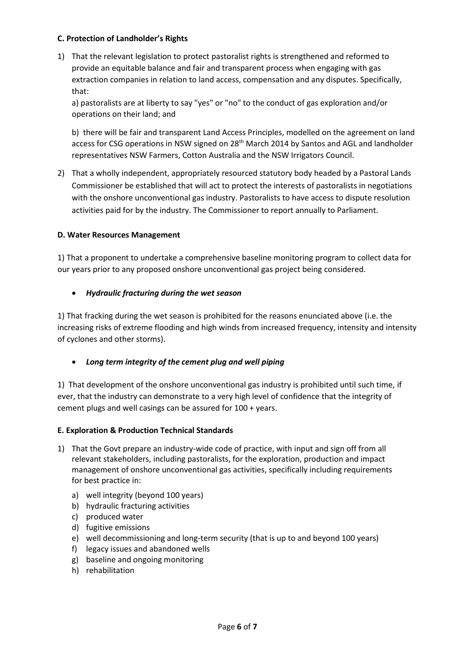#### **C. Protection of Landholder's Rights**

1) That the relevant legislation to protect pastoralist rights is strengthened and reformed to provide an equitable balance and fair and transparent process when engaging with gas extraction companies in relation to land access, compensation and any disputes. Specifically, that:

a) pastoralists are at liberty to say "yes" or "no" to the conduct of gas exploration and/or operations on their land; and

b) there will be fair and transparent Land Access Principles, modelled on the agreement on land access for CSG operations in NSW signed on 28<sup>th</sup> March 2014 by Santos and AGL and landholder representatives NSW Farmers, Cotton Australia and the NSW Irrigators Council.

2) That a wholly independent, appropriately resourced statutory body headed by a Pastoral Lands Commissioner be established that will act to protect the interests of pastoralists in negotiations with the onshore unconventional gas industry. Pastoralists to have access to dispute resolution activities paid for by the industry. The Commissioner to report annually to Parliament.

#### **D. Water Resources Management**

1) That a proponent to undertake a comprehensive baseline monitoring program to collect data for our years prior to any proposed onshore unconventional gas project being considered.

#### • *Hydraulic fracturing during the wet season*

1) That fracking during the wet season is prohibited for the reasons enunciated above (i.e. the increasing risks of extreme flooding and high winds from increased frequency, intensity and intensity of cyclones and other storms).

## • *Long term integrity of the cement plug and well piping*

1) That development of the onshore unconventional gas industry is prohibited until such time, if ever, that the industry can demonstrate to a very high level of confidence that the integrity of cement plugs and well casings can be assured for 100 + years.

#### **E. Exploration & Production Technical Standards**

- 1) That the Govt prepare an industry-wide code of practice, with input and sign off from all relevant stakeholders, including pastoralists, for the exploration, production and impact management of onshore unconventional gas activities, specifically including requirements for best practice in:
	- a) well integrity (beyond 100 years)
	- b) hydraulic fracturing activities
	- c) produced water
	- d) fugitive emissions
	- e) well decommissioning and long-term security (that is up to and beyond 100 years)
	- f) legacy issues and abandoned wells
	- g) baseline and ongoing monitoring
	- h) rehabilitation